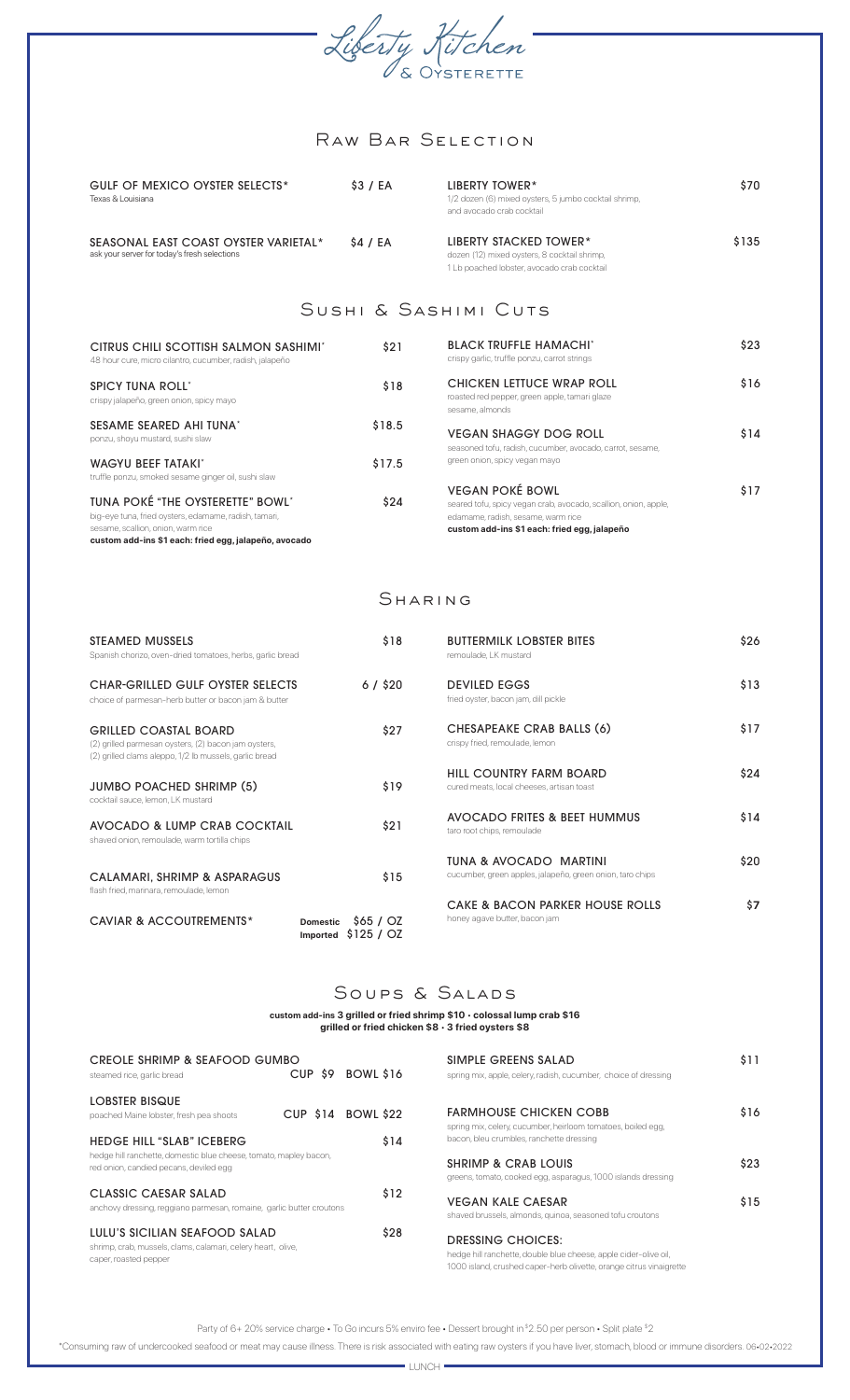

# Raw Bar Selection

| <b>GULF OF MEXICO OYSTER SELECTS*</b><br>Texas & Louisiana                           | \$3 / EA | LIBERTY TOWER*<br>1/2 dozen (6) mixed oysters, 5 jumbo cocktail shrimp,<br>and avocado crab cocktail | \$70  |
|--------------------------------------------------------------------------------------|----------|------------------------------------------------------------------------------------------------------|-------|
| SEASONAL EAST COAST OYSTER VARIETAL*<br>ask your server for today's fresh selections | \$4 / EA | LIBERTY STACKED TOWER*<br>dozen (12) mixed oysters, 8 cocktail shrimp,                               | \$135 |

## Sushi & Sashimi Cuts

1 Lb poached lobster, avocado crab cocktail

| CITRUS CHILI SCOTTISH SALMON SASHIMI*<br>48 hour cure, micro cilantro, cucumber, radish, jalapeño                                                                                        | \$21   | <b>BLACK TRUFFLE HAMACHI*</b><br>crispy garlic, truffle ponzu, carrot strings                                                                                                   | \$23 |
|------------------------------------------------------------------------------------------------------------------------------------------------------------------------------------------|--------|---------------------------------------------------------------------------------------------------------------------------------------------------------------------------------|------|
| <b>SPICY TUNA ROLL'</b><br>crispy jalapeño, green onion, spicy mayo                                                                                                                      | \$18   | CHICKEN LETTUCE WRAP ROLL<br>roasted red pepper, green apple, tamari glaze<br>sesame, almonds                                                                                   | \$16 |
| SESAME SEARED AHI TUNA*<br>ponzu, shoyu mustard, sushi slaw                                                                                                                              | \$18.5 | <b>VEGAN SHAGGY DOG ROLL</b><br>seasoned tofu, radish, cucumber, avocado, carrot, sesame,                                                                                       | \$14 |
| <b>WAGYU BEEF TATAKI'</b><br>truffle ponzu, smoked sesame ginger oil, sushi slaw                                                                                                         | \$17.5 | green onion, spicy vegan mayo                                                                                                                                                   |      |
| TUNA POKÉ "THE OYSTERETTE" BOWL"<br>big-eye tuna, fried oysters, edamame, radish, tamari,<br>sesame, scallion, onion, warm rice<br>custom add-ins \$1 each: fried egg, jalapeño, avocado | \$24   | <b>VEGAN POKÉ BOWL</b><br>seared tofu, spicy vegan crab, avocado, scallion, onion, apple,<br>edamame, radish, sesame, warm rice<br>custom add-ins \$1 each: fried egg, jalapeño | \$17 |

## Sharing

| STEAMED MUSSELS<br>Spanish chorizo, oven-dried tomatoes, herbs, garlic bread                                                                   | \$18                                               | <b>BUTTERMILK LOBSTER BITES</b><br>remoulade. LK mustard                            | \$26 |
|------------------------------------------------------------------------------------------------------------------------------------------------|----------------------------------------------------|-------------------------------------------------------------------------------------|------|
| <b>CHAR-GRILLED GULF OYSTER SELECTS</b><br>choice of parmesan-herb butter or bacon jam & butter                                                | 6 / \$20                                           | <b>DEVILED EGGS</b><br>fried oyster, bacon jam, dill pickle                         | \$13 |
| <b>GRILLED COASTAL BOARD</b><br>(2) grilled parmesan oysters, (2) bacon jam oysters,<br>(2) grilled clams aleppo, 1/2 lb mussels, garlic bread | \$27                                               | CHESAPEAKE CRAB BALLS (6)<br>crispy fried, remoulade, lemon                         | \$17 |
| <b>JUMBO POACHED SHRIMP (5)</b><br>cocktail sauce, lemon, LK mustard                                                                           | \$19                                               | HILL COUNTRY FARM BOARD<br>cured meats, local cheeses, artisan toast                | \$24 |
| AVOCADO & LUMP CRAB COCKTAIL<br>shaved onion, remoulade, warm tortilla chips                                                                   | \$21                                               | AVOCADO FRITES & BEET HUMMUS<br>taro root chips, remoulade                          | \$14 |
| CALAMARI, SHRIMP & ASPARAGUS<br>flash fried, marinara, remoulade, lemon                                                                        | \$15                                               | TUNA & AVOCADO MARTINI<br>cucumber, green apples, jalapeño, green onion, taro chips | \$20 |
| CAVIAR & ACCOUTREMENTS*                                                                                                                        | \$65/02<br><b>Domestic</b><br>\$125/02<br>Imported | CAKE & BACON PARKER HOUSE ROLLS<br>honey agave butter, bacon jam                    | \$7  |

## SOUPS & SALADS

### **custom add-ins 3 grilled or fried shrimp \$10** • **colossal lump crab \$16 grilled or fried chicken \$8** • **3 fried oysters \$8**

| CREOLE SHRIMP & SEAFOOD GUMBO<br>steamed rice, garlic bread                                                            | CUP \$9 | BOWL \$16          | SIMPLE GREENS SALAD<br>spring mix, apple, celery, radish, cucumber, choice of dressing                                                                       | \$11 |
|------------------------------------------------------------------------------------------------------------------------|---------|--------------------|--------------------------------------------------------------------------------------------------------------------------------------------------------------|------|
| LOBSTER BISQUE<br>poached Maine lobster, fresh pea shoots                                                              |         | CUP \$14 BOWL \$22 | <b>FARMHOUSE CHICKEN COBB</b><br>spring mix, celery, cucumber, heirloom tomatoes, boiled egg,                                                                | \$16 |
| <b>HEDGE HILL "SLAB" ICEBERG</b>                                                                                       |         | \$14               | bacon, bleu crumbles, ranchette dressing                                                                                                                     |      |
| hedge hill ranchette, domestic blue cheese, tomato, mapley bacon,<br>red onion, candied pecans, deviled egg            |         |                    | <b>SHRIMP &amp; CRAB LOUIS</b><br>greens, tomato, cooked egg, asparagus, 1000 islands dressing                                                               | \$23 |
| CLASSIC CAESAR SALAD<br>anchovy dressing, reggiano parmesan, romaine, garlic butter croutons                           |         | \$12               | <b>VEGAN KALE CAESAR</b><br>shaved brussels, almonds, quinoa, seasoned tofu croutons                                                                         | \$15 |
| LULU'S SICILIAN SEAFOOD SALAD<br>shrimp, crab, mussels, clams, calamari, celery heart, olive,<br>caper, roasted pepper |         | \$28               | DRESSING CHOICES:<br>hedge hill ranchette, double blue cheese, apple cider-olive oil,<br>1000 island, crushed caper-herb olivette, orange citrus vinaigrette |      |

Party of 6+ 20% service charge • To Go incurs 5% enviro fee • Dessert brought in \$2.50 per person • Split plate \$2

\*Consuming raw of undercooked seafood or meat may cause illness. There is risk associated with eating raw oysters if you have liver, stomach, blood or immune disorders. 06•02•2022